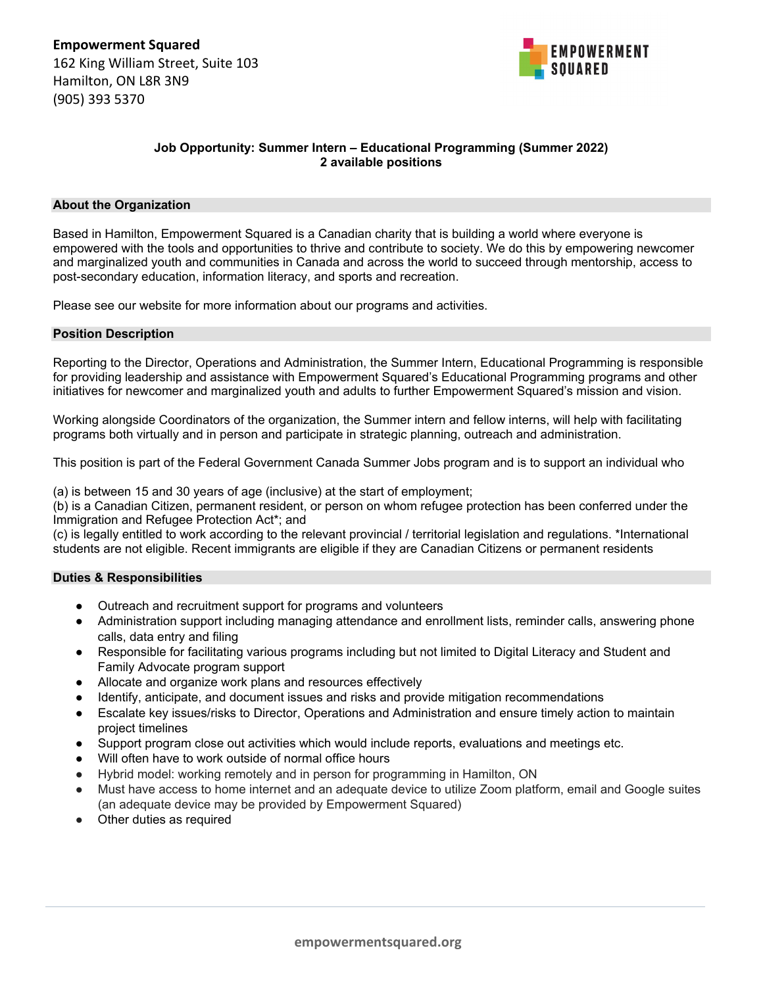

# **Job Opportunity: Summer Intern – Educational Programming (Summer 2022) 2 available positions**

# **About the Organization**

Based in Hamilton, Empowerment Squared is a Canadian charity that is building a world where everyone is empowered with the tools and opportunities to thrive and contribute to society. We do this by empowering newcomer and marginalized youth and communities in Canada and across the world to succeed through mentorship, access to post-secondary education, information literacy, and sports and recreation.

Please see our website for more information about our programs and activities.

#### **Position Description**

Reporting to the Director, Operations and Administration, the Summer Intern, Educational Programming is responsible for providing leadership and assistance with Empowerment Squared's Educational Programming programs and other initiatives for newcomer and marginalized youth and adults to further Empowerment Squared's mission and vision.

Working alongside Coordinators of the organization, the Summer intern and fellow interns, will help with facilitating programs both virtually and in person and participate in strategic planning, outreach and administration.

This position is part of the Federal Government Canada Summer Jobs program and is to support an individual who

(a) is between 15 and 30 years of age (inclusive) at the start of employment;

(b) is a Canadian Citizen, permanent resident, or person on whom refugee protection has been conferred under the Immigration and Refugee Protection Act\*; and

(c) is legally entitled to work according to the relevant provincial / territorial legislation and regulations. \*International students are not eligible. Recent immigrants are eligible if they are Canadian Citizens or permanent residents

## **Duties & Responsibilities**

- Outreach and recruitment support for programs and volunteers
- Administration support including managing attendance and enrollment lists, reminder calls, answering phone calls, data entry and filing
- Responsible for facilitating various programs including but not limited to Digital Literacy and Student and Family Advocate program support
- Allocate and organize work plans and resources effectively
- Identify, anticipate, and document issues and risks and provide mitigation recommendations
- Escalate key issues/risks to Director, Operations and Administration and ensure timely action to maintain project timelines
- Support program close out activities which would include reports, evaluations and meetings etc.
- Will often have to work outside of normal office hours
- Hybrid model: working remotely and in person for programming in Hamilton, ON
- Must have access to home internet and an adequate device to utilize Zoom platform, email and Google suites (an adequate device may be provided by Empowerment Squared)
- Other duties as required